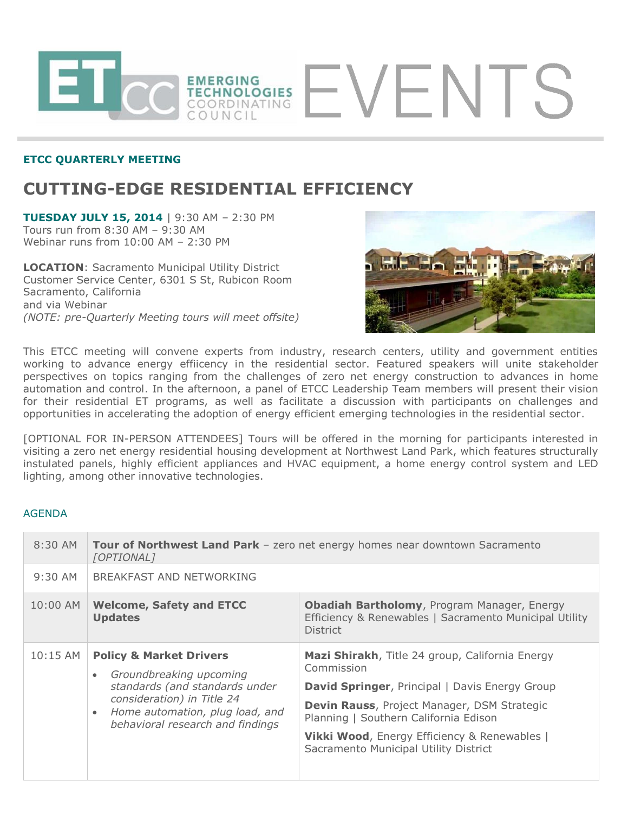

## **ETCC QUARTERLY MEETING**

# **CUTTING-EDGE RESIDENTIAL EFFICIENCY**

**TUESDAY JULY 15, 2014** | 9:30 AM – 2:30 PM Tours run from 8:30 AM – 9:30 AM Webinar runs from 10:00 AM – 2:30 PM

**LOCATION**: Sacramento Municipal Utility District Customer Service Center, 6301 S St, Rubicon Room Sacramento, California and via Webinar *(NOTE: pre-Quarterly Meeting tours will meet offsite)*



This ETCC meeting will convene experts from industry, research centers, utility and government entities working to advance energy effiicency in the residential sector. Featured speakers will unite stakeholder perspectives on topics ranging from the challenges of zero net energy construction to advances in home automation and control. In the afternoon, a panel of ETCC Leadership Team members will present their vision for their residential ET programs, as well as facilitate a discussion with participants on challenges and opportunities in accelerating the adoption of energy efficient emerging technologies in the residential sector.

[OPTIONAL FOR IN-PERSON ATTENDEES] Tours will be offered in the morning for participants interested in visiting a zero net energy residential housing development at Northwest Land Park, which features structurally instulated panels, highly efficient appliances and HVAC equipment, a home energy control system and LED lighting, among other innovative technologies.

### AGENDA

| $8:30$ AM  | <b>Tour of Northwest Land Park</b> - zero net energy homes near downtown Sacramento<br>[OPTIONAL]                                                                                                                              |                                                                                                                                                                                                                                                                                                         |
|------------|--------------------------------------------------------------------------------------------------------------------------------------------------------------------------------------------------------------------------------|---------------------------------------------------------------------------------------------------------------------------------------------------------------------------------------------------------------------------------------------------------------------------------------------------------|
| $9:30$ AM  | BREAKFAST AND NETWORKING                                                                                                                                                                                                       |                                                                                                                                                                                                                                                                                                         |
| 10:00 AM   | <b>Welcome, Safety and ETCC</b><br><b>Updates</b>                                                                                                                                                                              | Obadiah Bartholomy, Program Manager, Energy<br>Efficiency & Renewables   Sacramento Municipal Utility<br><b>District</b>                                                                                                                                                                                |
| $10:15$ AM | <b>Policy &amp; Market Drivers</b><br>Groundbreaking upcoming<br>$\bullet$<br>standards (and standards under<br>consideration) in Title 24<br>Home automation, plug load, and<br>$\bullet$<br>behavioral research and findings | Mazi Shirakh, Title 24 group, California Energy<br>Commission<br><b>David Springer, Principal   Davis Energy Group</b><br>Devin Rauss, Project Manager, DSM Strategic<br>Planning   Southern California Edison<br>Vikki Wood, Energy Efficiency & Renewables  <br>Sacramento Municipal Utility District |